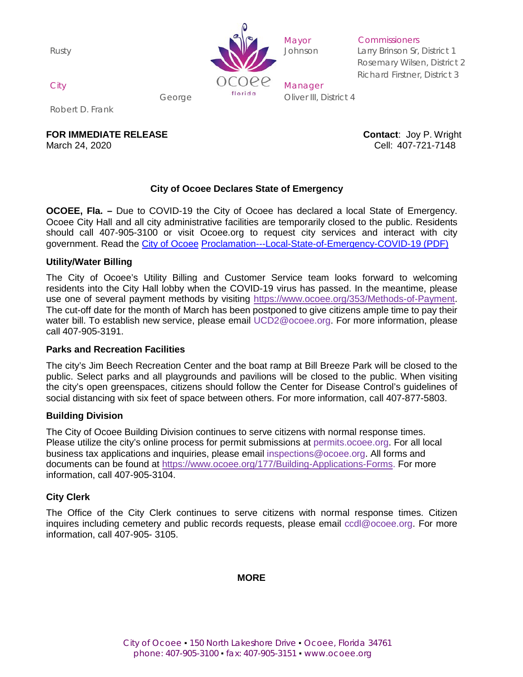Rusty



**Commissioners** 

Larry Brinson Sr, District 1 Rosemary Wilsen, District 2 Richard Firstner, District 3

George **Contract Contract Contract Contract** Contract Oliver III, District 4

Robert D. Frank

**FOR IMMEDIATE RELEASE CONTACT ASSESSED ASSESSED ASSESSED ASSESSED AT A CONTACT CONTACT USE OF A CONTACT AND A CONTACT A CONTACT A CONTACT AND A CONTACT A CONTACT A CONTACT A CONTACT A CONTACT A CONTACT A CONTACT A CONTA** 

March 24, 2020 Cell: 407-721-7148

# **City of Ocoee Declares State of Emergency**

**OCOEE, Fla. –** Due to COVID-19 the City of Ocoee has declared a local State of Emergency. Ocoee City Hall and all city administrative facilities are temporarily closed to the public. Residents should call 407-905-3100 or visit Ocoee.org to request city services and interact with city government. Read the [City of Ocoee](https://www.ocoee.org/DocumentCenter/View/12318/City-of-Ocoee-Proclamation---Local-State-of-Emergency-COVID-19-PDF) [Proclamation---Local-State-of-Emergency-COVID-19](https://www.ocoee.org/DocumentCenter/View/12318/City-of-Ocoee-Proclamation---Local-State-of-Emergency-COVID-19-PDF) (PDF)

#### **Utility/Water Billing**

The City of Ocoee's Utility Billing and Customer Service team looks forward to welcoming residents into the City Hall lobby when the COVID-19 virus has passed. In the meantime, please use one of several payment methods by visiting [https://www.ocoee.org/353/Methods-of-Payment.](https://www.ocoee.org/353/Methods-of-Payment) The cut-off date for the month of March has been postponed to give citizens ample time to pay their water bill. To establish new service, please email [UCD2@ocoee.org.](mailto:UCD2@ocoee.org) For more information, please call 407-905-3191.

#### **Parks and Recreation Facilities**

The city's Jim Beech Recreation Center and the boat ramp at Bill Breeze Park will be closed to the public. Select parks and all playgrounds and pavilions will be closed to the public. When visiting the city's open greenspaces, citizens should follow the Center for Disease Control's guidelines of social distancing with six feet of space between others. For more information, call 407-877-5803.

## **Building Division**

The City of Ocoee Building Division continues to serve citizens with normal response times. Please utilize the city's online process for permit submissions at [permits.ocoee.org.](http://permits.ocoee.org/CitizenPortal/Default.aspx?ReturnUrl=%2fCitizenPortal) For all local business tax applications and inquiries, please email [inspections@ocoee.org. A](mailto:inspections@ocoee.org)ll forms and documents can be found at [https://www.ocoee.org/177/Building-Applications-Forms. F](https://www.ocoee.org/177/Building-Applications-Forms)or more information, call 407-905-3104.

## **City Clerk**

The Office of the City Clerk continues to serve citizens with normal response times. Citizen inquires including cemetery and public records requests, please email [ccdl@ocoee.org.](mailto:ccdl@ocoee.org) For more information, call 407-905- 3105.

## **MORE**